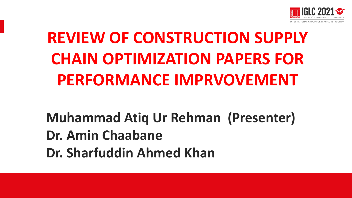

# **REVIEW OF CONSTRUCTION SUPPLY CHAIN OPTIMIZATION PAPERS FOR PERFORMANCE IMPRVOVEMENT**

**Muhammad Atiq Ur Rehman (Presenter) Dr. Amin Chaabane Dr. Sharfuddin Ahmed Khan**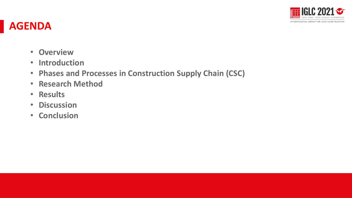

#### **AGENDA**

- **Overview**
- **Introduction**
- **Phases and Processes in Construction Supply Chain (CSC)**
- **Research Method**
- **Results**
- **Discussion**
- **Conclusion**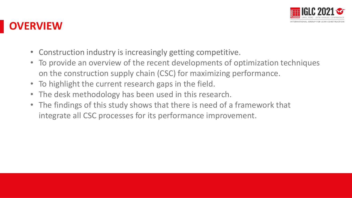

### **OVERVIEW**

- Construction industry is increasingly getting competitive.
- To provide an overview of the recent developments of optimization techniques on the construction supply chain (CSC) for maximizing performance.
- To highlight the current research gaps in the field.
- The desk methodology has been used in this research.
- The findings of this study shows that there is need of a framework that integrate all CSC processes for its performance improvement.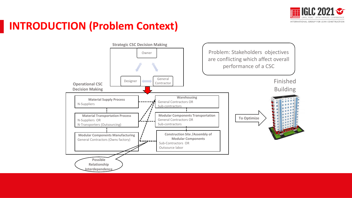

### **INTRODUCTION (Problem Context)**

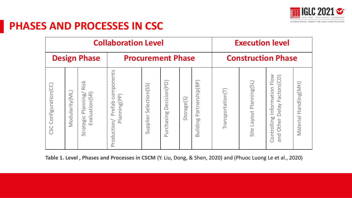

#### **PHASES AND PROCESSES IN CSC**

|                       |                |                                                                                                                   | <b>Collaboration Level</b>                             | <b>Execution level</b>                                           |                            |                           |                             |                   |                          |                                                                      |                          |
|-----------------------|----------------|-------------------------------------------------------------------------------------------------------------------|--------------------------------------------------------|------------------------------------------------------------------|----------------------------|---------------------------|-----------------------------|-------------------|--------------------------|----------------------------------------------------------------------|--------------------------|
| <b>Design Phase</b>   |                |                                                                                                                   |                                                        | <b>Procurement Phase</b>                                         |                            | <b>Construction Phase</b> |                             |                   |                          |                                                                      |                          |
| CSC Configuration(CC) | Modularity(ML) | $rac{1}{5}$<br>$\ddot{\overline{\alpha}}$<br>Evaluation(SR)<br>$\frac{1}{8}$<br>Plannı<br>$rac{1}{80}$<br>Strateg | components<br>nning(PP)<br>refab<br>Plai<br>Production | election(SS)<br>$\bar{S}$<br>$\overline{\phantom{0}}$<br>Supplie | Decision(PD)<br>Purchasing | Storage(S)                | Partnership(BP)<br>Building | [ransportation(T) | Site Layout Planning(SL) | Information Flow<br>Delay Factors(CD)<br>Controlling<br>Other<br>bue | Handling(MH)<br>Material |

**Table 1. Level , Phases and Processes in CSCM** (Y. Liu, Dong, & Shen, 2020) and (Phuoc Luong Le et al., 2020)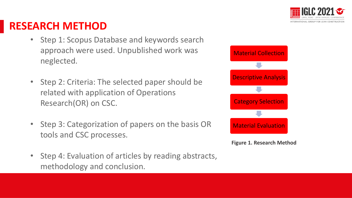

#### **RESEARCH METHOD**

- Step 1: Scopus Database and keywords search approach were used. Unpublished work was neglected.
- Step 2: Criteria: The selected paper should be related with application of Operations Research(OR) on CSC.
- Step 3: Categorization of papers on the basis OR tools and CSC processes.
- Step 4: Evaluation of articles by reading abstracts, methodology and conclusion.



**Figure 1. Research Method**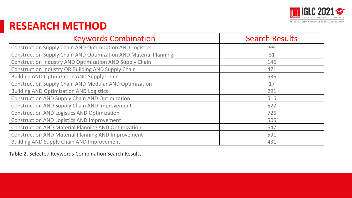

#### **RESEARCH METHOD**

| <b>Keywords Combination</b>                                             | <b>Search Results</b> |
|-------------------------------------------------------------------------|-----------------------|
| <b>Construction Supply Chain AND Optimization AND Logistics</b>         | 99                    |
| <b>Construction Supply Chain AND Optimization AND Material Planning</b> | 31                    |
| Construction Industry AND Optimization AND Supply Chain                 | 146                   |
| <b>Construction Industry OR Building AND Supply Chain</b>               | 471                   |
| <b>Building AND Optimization AND Supply Chain</b>                       | 536                   |
| <b>Construction Supply Chain AND Modular AND Optimization</b>           | 17                    |
| <b>Building AND Optimization AND Logistics</b>                          | 291                   |
| <b>Construction AND Supply Chain AND Optimization</b>                   | 516                   |
| <b>Construction AND Supply Chain AND Improvement</b>                    | 522                   |
| <b>Construction AND Logistics AND Optimization</b>                      | 726                   |
| <b>Construction AND Logistics AND Improvement</b>                       | 506                   |
| <b>Construction AND Material Planning AND Optimization</b>              | 647                   |
| <b>Construction AND Material Planning AND Improvement</b>               | 591                   |
| <b>Building AND Supply Chain AND Improvement</b>                        | 431                   |

**Table 2.** Selected Keywords Combination Search Results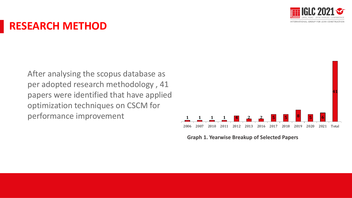

#### **RESEARCH METHOD**

After analysing the scopus database as per adopted research methodology , 41 papers were identified that have applied optimization techniques on CSCM for performance improvement



**Graph 1. Yearwise Breakup of Selected Papers**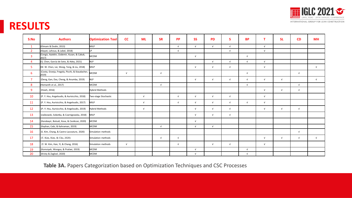

#### **RESULTS**

| S:No           | <b>Authors</b>                                          | <b>Optimization Tool</b> | cc         | <b>ML</b>  | <b>SR</b>  | <b>PP</b>  | <b>SS</b>  | <b>PD</b>  | S.         | <b>BP</b>  | т          | <b>SL</b>  | CD         | <b>MH</b>  |
|----------------|---------------------------------------------------------|--------------------------|------------|------------|------------|------------|------------|------------|------------|------------|------------|------------|------------|------------|
| $\mathbf{1}$   | (Elimam & Dodin, 2013)                                  | <b>MILP</b>              |            |            |            | $\sqrt{ }$ | $\sqrt{ }$ | $\sqrt{ }$ | $\sqrt{ }$ |            | $\sqrt{ }$ |            |            |            |
| $\overline{2}$ | (Alayet, Lehoux, & Lebel, 2018)                         | LP                       |            |            |            | $\sqrt{ }$ |            |            | $\sqrt{ }$ |            | $\sqrt{ }$ |            |            |            |
| $\overline{3}$ | (Cengiz, Aytekin, Ozdemir, Kusan, & Cabuk,<br>2017)     | Імсрм                    |            |            |            |            | $\sqrt{ }$ |            |            | $\sqrt{ }$ |            |            |            |            |
| $\overline{4}$ | (Q. Chen, García de Soto, & Adey, 2021)                 | <b>NLP</b>               |            |            |            |            |            | $\sqrt{ }$ | $\sqrt{ }$ | $\sqrt{ }$ | $\sqrt{ }$ |            |            |            |
| 5              | (W. W. Chen, Lei, Wang, Teng, & Liu, 2018)              | MILP                     |            |            |            |            | $\sqrt{ }$ | $\sqrt{ }$ | $\sqrt{ }$ |            | $\sqrt{ }$ |            |            | $\sqrt{ }$ |
| 6              | (Costa, Granja, Fregola, Picchi, & Staudacher,<br>2019) | <b>MCDM</b>              | $\sqrt{ }$ |            | $\sqrt{ }$ |            |            |            |            | $\sqrt{ }$ |            |            | $\sqrt{ }$ |            |
| $\overline{7}$ | (Deng, Gan, Das, Cheng, & Anumba, 2019)                 | <b>NLP</b>               |            |            |            |            | $\sqrt{ }$ | $\sqrt{ }$ | $\sqrt{ }$ | $\sqrt{ }$ | $\sqrt{ }$ | $\sqrt{ }$ |            | $\sqrt{ }$ |
| 8              | (Hemanth et al., 2017)                                  | мсрм                     |            |            | $\sqrt{ }$ |            |            |            |            | $\sqrt{ }$ |            |            | $\sqrt{ }$ |            |
| 9              | (Hsieh, 2016)                                           | Hybrid Methods           |            |            |            |            |            |            |            |            | $\sqrt{ }$ | $\sqrt{ }$ | $\sqrt{ }$ |            |
| 10             | (P. Y. Hsu, Angeloudis, & Aurisicchio, 2018)            | Two-stage Stochastic     |            | $\sqrt{ }$ |            | $\sqrt{ }$ | $\sqrt{ }$ | $\sqrt{ }$ | $\sqrt{ }$ |            | $\sqrt{ }$ |            |            |            |
| 11             | (P. Y. Hsu, Aurisicchio, & Angeloudis, 2017)            | <b>MILP</b>              |            | $\sqrt{ }$ |            | $\sqrt{ }$ | $\sqrt{ }$ | $\sqrt{ }$ | $\sqrt{ }$ | $\sqrt{ }$ | $\sqrt{ }$ |            |            |            |
| 12             | (P.-Y. Hsu, Aurisicchio, & Angeloudis, 2019)            | Hybrid Methods           |            | $\sqrt{ }$ |            |            | $\sqrt{ }$ | $\sqrt{ }$ | $\sqrt{ }$ |            | $\sqrt{ }$ | $\sqrt{ }$ | $\sqrt{ }$ |            |
| 13             | (Jaśkowski, Sobotka, & Czarnigowska, 2018)              | MILP                     |            |            |            |            | $\sqrt{ }$ | $\sqrt{ }$ | $\sqrt{ }$ |            |            |            |            |            |
| 14             | (Karabayir, Botsali, Kose, & Cevikcan, 2020)            | <b>MCDM</b>              |            |            |            |            | $\sqrt{ }$ |            |            |            |            |            |            |            |
| 15             | (Kayhan, Cebi, & Kahraman, 2019)                        | MCDM                     |            |            | $\sqrt{ }$ |            | $\sqrt{ }$ | $\sqrt{ }$ |            |            |            |            |            |            |
| 16             | (S. Kim, Chang, & Castro-Lacouture, 2020)               | Simulation methods       |            |            |            |            |            |            |            |            |            |            | $\sqrt{ }$ |            |
| 17             | (T. Kim, Kim, & Cho, 2020)                              | Simulation methods       |            |            | $\sqrt{ }$ | $\sqrt{ }$ |            |            |            |            | $\sqrt{ }$ | $\sqrt{ }$ | $\sqrt{ }$ | $\sqrt{ }$ |
| 18             | (Y. W. Kim, Han, Yi, & Chang, 2016)                     | Simulation methods       | $\sqrt{ }$ |            |            | $\sqrt{ }$ |            | $\sqrt{ }$ | $\sqrt{ }$ |            | $\sqrt{ }$ |            |            |            |
| 19             | (Komsiyah, Wongso, & Pratiwi, 2019)                     | <b>MCDM</b>              |            |            |            |            | $\sqrt{ }$ |            |            | $\sqrt{ }$ |            |            |            |            |
| 20             | (Kristy & Zagloel, 2020)                                | MCDM                     |            |            |            |            | $\sqrt{ }$ |            |            | $\sqrt{ }$ |            |            |            |            |

**Table 3A.** Papers Categorization based on Optimization Techniques and CSC Processes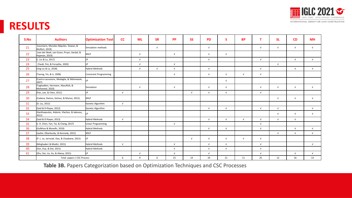

#### **RESULTS**

| S:No | <b>Authors</b>                                              | <b>Optimization Tool</b>      | cc         | <b>ML</b>  | <b>SR</b>  | <b>PP</b>  | <b>SS</b>  | <b>PD</b>  | <b>S</b>   | <b>BP</b>  | т          | <b>SL</b>  | CD         | <b>MH</b>  |
|------|-------------------------------------------------------------|-------------------------------|------------|------------|------------|------------|------------|------------|------------|------------|------------|------------|------------|------------|
| 21   | (Leontaris, Morales-Nápoles, Dewan, &<br>Wolfert, 2019)     | Simulation methods            |            |            | $\sqrt{ }$ |            |            | $\sqrt{ }$ |            |            | $\sqrt{ }$ | $\sqrt{ }$ | $\sqrt{ }$ | $\sqrt{ }$ |
| 22   | (van der Beek, van Essen, Pruyn, Aardal, &<br>Hopman, 2019) | MILP                          |            | $\sqrt{ }$ |            | $\sqrt{ }$ |            | $\sqrt{ }$ | $\sqrt{ }$ |            |            |            |            |            |
| 23   | (J. Liu & Lu, 2017)                                         | I P                           |            | $\sqrt{ }$ |            |            |            | $\sqrt{ }$ |            |            | $\sqrt{ }$ |            | $\sqrt{ }$ | $\sqrt{ }$ |
| 24   | (Yazdi, Fini, & Forsythe, 2020)                             | I P                           |            | $\sqrt{ }$ |            | $\sqrt{ }$ |            |            |            |            |            | $\sqrt{ }$ |            |            |
| 25   | (Jing Liu & Lu, 2018)                                       | <b>Hybrid Methods</b>         |            | $\sqrt{ }$ | $\sqrt{ }$ | $\sqrt{ }$ |            | $\sqrt{ }$ |            |            | $\sqrt{ }$ |            | $\sqrt{ }$ | $\sqrt{ }$ |
| 26   | (Tserng, Yin, & Li, 2006)                                   | <b>Constraint Programming</b> |            |            |            | $\sqrt{ }$ |            | $\sqrt{ }$ | $\sqrt{ }$ | $\sqrt{ }$ | $\sqrt{ }$ |            |            |            |
| 27   | (Castro-Lacouture, Medaglia, & Skibniewski,<br>2007)        | I D                           |            |            |            |            |            |            | $\sqrt{ }$ |            |            |            |            |            |
| 28   | Taghaddos, Hermann, AbouRizk, &<br>Mohamed, 2010)           | Simulation                    |            | $\sqrt{ }$ |            | $\sqrt{ }$ |            | $\sqrt{ }$ | $\sqrt{ }$ |            | $\sqrt{ }$ | $\sqrt{ }$ | $\sqrt{ }$ | $\sqrt{ }$ |
| 29   | (Pan, Lee, & Chen, 2011)                                    | I P                           | $\sqrt{ }$ |            |            |            | $\sqrt{ }$ | $\sqrt{ }$ | $\sqrt{ }$ |            | $\sqrt{ }$ |            |            |            |
| 30   | (Cadena, Ramos, Gómez, & Munoz, 2012)                       | <b>MILP</b>                   |            |            |            |            |            |            |            |            |            | $\sqrt{ }$ | $\sqrt{ }$ | $\sqrt{ }$ |
| 31   | (D. Liu, 2012)                                              | Genetic Algorithm             | $\sqrt{ }$ |            |            |            |            |            |            |            |            |            |            |            |
| 32   | (Said & El-Rayes, 2012)                                     | Genetic Algorithm             |            |            |            |            |            | $\sqrt{ }$ | $\sqrt{ }$ |            | $\sqrt{ }$ | $\sqrt{ }$ |            | $\sqrt{ }$ |
| 33   | (Xanthopoulos, Aidonis, Vlachos, & Iakovou,<br>2012)        | ID.                           |            |            |            |            |            |            |            |            |            | $\sqrt{ }$ | $\sqrt{ }$ | $\sqrt{ }$ |
| 34   | (Said & El-Rayes, 2013)                                     | <b>Hybrid Methods</b>         | $\sqrt{ }$ |            |            |            |            | $\sqrt{ }$ | $\sqrt{ }$ | $\sqrt{ }$ | $\sqrt{ }$ | $\sqrt{ }$ | $\sqrt{ }$ |            |
| 35   | (J. H. Chen, Yan, Tai, & Chang, 2017)                       | Linear Programming            |            |            |            | $\sqrt{ }$ |            |            |            |            | $\sqrt{ }$ |            |            |            |
| 36   | (Golkhoo & Moselhi, 2019)                                   | Hybrid Methods                |            |            |            |            |            | $\sqrt{ }$ | $\sqrt{ }$ |            | $\sqrt{ }$ |            | $\sqrt{ }$ | $\sqrt{ }$ |
| 37   | (Jaafar, Elbarkouky, & Kennedy, 2021)                       | MILP                          |            |            |            |            |            |            |            |            |            | $\sqrt{ }$ | $\sqrt{ }$ | $\sqrt{ }$ |
| 38   | (P. L. Le, Jarroudi, Dao, & Chaabane, 2021)                 | LP                            |            |            |            |            | $\sqrt{ }$ | $\sqrt{ }$ | $\sqrt{ }$ | $\sqrt{ }$ | $\sqrt{ }$ |            |            |            |
| 39   | (Mirghaderi & Modiri, 2021)                                 | <b>Hybrid Methods</b>         | $\sqrt{ }$ |            |            | $\sqrt{ }$ |            | $\sqrt{ }$ | $\sqrt{ }$ |            | $\sqrt{ }$ |            |            | $\sqrt{ }$ |
| 40   | (Son, Duy, & Dat, 2021)                                     | Hybrid Methods                |            |            |            | $\sqrt{ }$ |            | $\sqrt{ }$ | $\sqrt{ }$ |            | $\sqrt{ }$ |            |            |            |
| 41   | (Zhu, Dai, Liu, Xu, & Alwisy, 2021)                         | I P                           |            | $\sqrt{ }$ |            | $\sqrt{ }$ |            | $\sqrt{ }$ |            |            | $\sqrt{ }$ |            | $\sqrt{ }$ | $\sqrt{ }$ |
|      | Total papers / CSC Process                                  |                               | 6          | 9          | 6          | 15         | 14         | 24         | 21         | 11         | 25         | 12         | 16         | 14         |

**Table 3B.** Papers Categorization based on Optimization Techniques and CSC Processes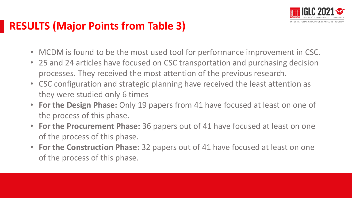

### **RESULTS (Major Points from Table 3)**

- MCDM is found to be the most used tool for performance improvement in CSC.
- 25 and 24 articles have focused on CSC transportation and purchasing decision processes. They received the most attention of the previous research.
- CSC configuration and strategic planning have received the least attention as they were studied only 6 times
- **For the Design Phase:** Only 19 papers from 41 have focused at least on one of the process of this phase.
- **For the Procurement Phase:** 36 papers out of 41 have focused at least on one of the process of this phase.
- **For the Construction Phase:** 32 papers out of 41 have focused at least on one of the process of this phase.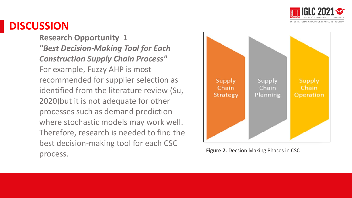

#### **DISCUSSION**

**Research Opportunity 1** *"Best Decision-Making Tool for Each Construction Supply Chain Process"* For example, Fuzzy AHP is most recommended for supplier selection as identified from the literature review (Su, 2020)but it is not adequate for other processes such as demand prediction where stochastic models may work well. Therefore, research is needed to find the best decision-making tool for each CSC process.



**Figure 2. Decsion Making Phases in CSC**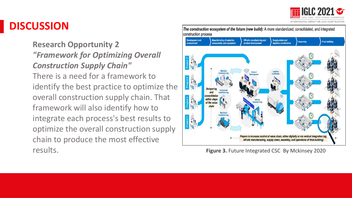

NTERNATIONAL GROUP FOR LEAN CONSTRUCTIO

#### **DISCUSSION**

**Research Opportunity 2** *"Framework for Optimizing Overall Construction Supply Chain"*  There is a need for a framework to identify the best practice to optimize the overall construction supply chain. That framework will also identify how to integrate each process's best results to optimize the overall construction supply chain to produce the most effective results.



**Figure 3. Future Integrated CSC By Mckinsey 2020**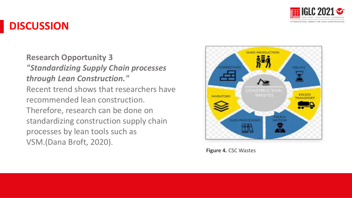

#### **DISCUSSION**

**Research Opportunity 3** *"Standardizing Supply Chain processes through Lean Construction."* Recent trend shows that researchers have recommended lean construction. Therefore, research can be done on standardizing construction supply chain processes by lean tools such as VSM.(Dana Broft, 2020).



**Figure 4.** CSC Wastes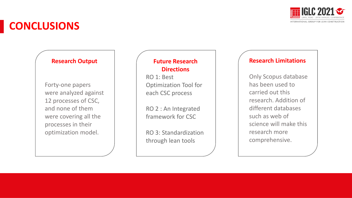

### **CONCLUSIONS**

#### **Research Output**

Forty-one papers were analyzed against 12 processes of CSC, and none of them were covering all the processes in their optimization model.

#### **Future Research Directions**

RO 1: Best Optimization Tool for each CSC process

RO 2 : An Integrated framework for CSC

RO 3: Standardization through lean tools

#### **Research Limitations**

Only Scopus database has been used to carried out this research. Addition of different databases such as web of science will make this research more comprehensive.